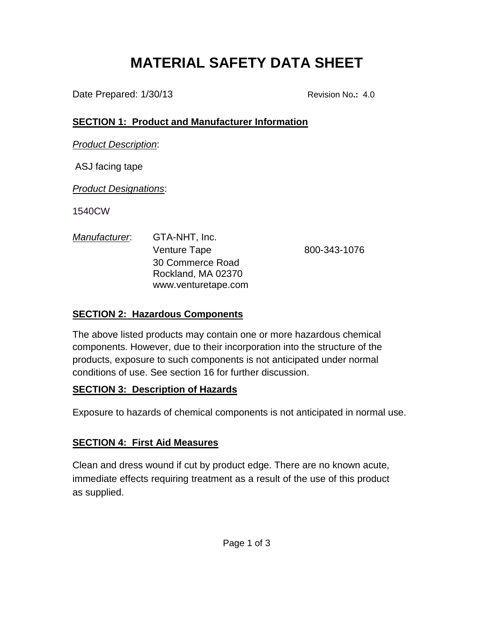# **MATERIAL SAFETY DATA SHEET**

Date Prepared:  $1/30/13$  Revision No.: 4.0

# **SECTION 1: Product and Manufacturer Information**

*Product Description*:

ASJ facing tape

*Product Designations*:

1540CW

| Manufacturer. | GTA-NHT, Inc.       |              |
|---------------|---------------------|--------------|
|               | <b>Venture Tape</b> | 800-343-1076 |
|               | 30 Commerce Road    |              |
|               | Rockland, MA 02370  |              |
|               | www.venturetape.com |              |

# **SECTION 2: Hazardous Components**

The above listed products may contain one or more hazardous chemical components. However, due to their incorporation into the structure of the products, exposure to such components is not anticipated under normal conditions of use. See section 16 for further discussion.

# **SECTION 3: Description of Hazards**

Exposure to hazards of chemical components is not anticipated in normal use.

# **SECTION 4: First Aid Measures**

Clean and dress wound if cut by product edge. There are no known acute, immediate effects requiring treatment as a result of the use of this product as supplied.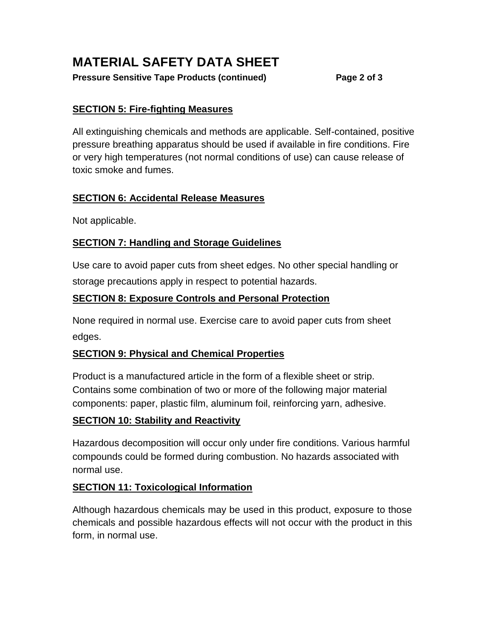# **MATERIAL SAFETY DATA SHEET**

#### **Pressure Sensitive Tape Products (continued) Page 2 of 3**

#### **SECTION 5: Fire-fighting Measures**

All extinguishing chemicals and methods are applicable. Self-contained, positive pressure breathing apparatus should be used if available in fire conditions. Fire or very high temperatures (not normal conditions of use) can cause release of toxic smoke and fumes.

#### **SECTION 6: Accidental Release Measures**

Not applicable.

# **SECTION 7: Handling and Storage Guidelines**

Use care to avoid paper cuts from sheet edges. No other special handling or storage precautions apply in respect to potential hazards.

# **SECTION 8: Exposure Controls and Personal Protection**

None required in normal use. Exercise care to avoid paper cuts from sheet edges.

## **SECTION 9: Physical and Chemical Properties**

Product is a manufactured article in the form of a flexible sheet or strip. Contains some combination of two or more of the following major material components: paper, plastic film, aluminum foil, reinforcing yarn, adhesive.

## **SECTION 10: Stability and Reactivity**

Hazardous decomposition will occur only under fire conditions. Various harmful compounds could be formed during combustion. No hazards associated with normal use.

## **SECTION 11: Toxicological Information**

Although hazardous chemicals may be used in this product, exposure to those chemicals and possible hazardous effects will not occur with the product in this form, in normal use.